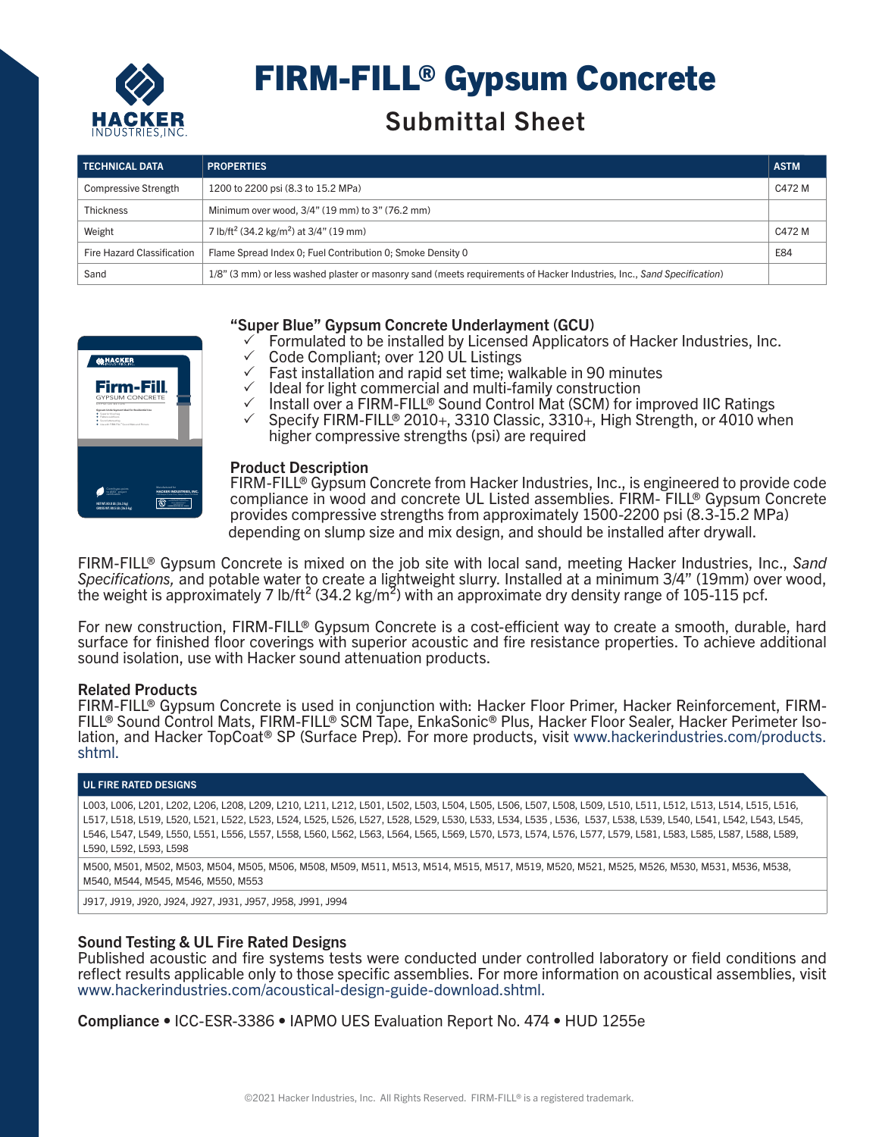

# FIRM-FILL® Gypsum Concrete

## Submittal Sheet

| <b>TECHNICAL DATA</b>       | <b>PROPERTIES</b>                                                                                                      | <b>ASTM</b> |
|-----------------------------|------------------------------------------------------------------------------------------------------------------------|-------------|
| <b>Compressive Strength</b> | 1200 to 2200 psi (8.3 to 15.2 MPa)                                                                                     | C472 M      |
| <b>Thickness</b>            | Minimum over wood, 3/4" (19 mm) to 3" (76.2 mm)                                                                        |             |
| Weight                      | 7 lb/ft <sup>2</sup> (34.2 kg/m <sup>2</sup> ) at 3/4" (19 mm)                                                         | C472 M      |
| Fire Hazard Classification  | Flame Spread Index 0: Fuel Contribution 0: Smoke Density 0                                                             | E84         |
| Sand                        | 1/8" (3 mm) or less washed plaster or masonry sand (meets requirements of Hacker Industries, Inc., Sand Specification) |             |

#### **CAHACKER** Firm-Fill GYPSUM CONCRETE GYPSE DE BÉTON + Superior blue bag + Flattens subfloors + Sound attenuating + Use with FIRM-FILL® Sound Mats and Primers to LEED® project **HACKER INDUSTRIES, INC. NET WT. 80.0 LB. (36.3 kg) GROSS WT. 80.5 LB. (36.5 kg) HACKER INDUSTRIES, INC. - R10474**

#### "Super Blue" Gypsum Concrete Underlayment (GCU)

- 3 Formulated to be installed by Licensed Applicators of Hacker Industries, Inc.
- $\checkmark$  Code Compliant; over 120 UL Listings<br> $\checkmark$  Fast installation and rapid set time: wa
- $\checkmark$  Fast installation and rapid set time; walkable in 90 minutes
- $\checkmark$  Ideal for light commercial and multi-family construction
- √ Install over a FIRM-FILL® Sound Control Mat (SCM) for improved IIC Ratings
- $\checkmark$  Specify FIRM-FILL® 2010+, 3310 Classic, 3310+, High Strength, or 4010 when higher compressive strengths (psi) are required |<br>|<br>|<br>| **NEWPORT BEACH, CA**

### **Product Description**

L® compliance in wood and concrete UL Listed assemblies. FIRM- FILL® Gypsum Concrete FIRM-FILL<sup>®</sup> Gypsum Concrete from Hacker Industries, Inc., is engineered to provide code depending on slump size and mix design, and should be installed after drywall. provides compressive strengths from approximately 1500-2200 psi (8.3-15.2 MPa)

FIRM-FILL® Gypsum Concrete is mixed on the job site with local sand, meeting Hacker Industries, Inc., *Sand Specifications,* and potable water to create a lightweight slurry. Installed at a minimum 3/4" (19mm) over wood, the weight is approximately 7 lb/ft<sup>2</sup> (34.2 kg/m<sup>2</sup>) with an approximate dry density range of 105-115 pcf.

For new construction, FIRM-FILL® Gypsum Concrete is a cost-efficient way to create a smooth, durable, hard surface for finished floor coverings with superior acoustic and fire resistance properties. To achieve additional sound isolation, use with Hacker sound attenuation products.

#### Related Products

FIRM-FILL® Gypsum Concrete is used in conjunction with: Hacker Floor Primer, Hacker Reinforcement, FIRM-FILL® Sound Control Mats, FIRM-FILL® SCM Tape, EnkaSonic® Plus, Hacker Floor Sealer, Hacker Perimeter Isolation, and Hacker TopCoat<sup>®</sup> SP (Surface Prep). For more products, visit www.hackerindustries.com/products. shtml.

#### UL FIRE RATED DESIGNS

L003, L006, L201, L202, L206, L208, L209, L210, L211, L212, L501, L502, L503, L504, L505, L506, L507, L508, L509, L510, L511, L512, L513, L514, L515, L516, L517, L518, L519, L520, L521, L522, L523, L524, L525, L526, L527, L528, L529, L530, L533, L534, L535 , L536, L537, L538, L539, L540, L541, L542, L543, L545, L546, L547, L549, L550, L551, L556, L557, L558, L560, L562, L563, L564, L565, L569, L570, L573, L574, L576, L577, L579, L581, L583, L585, L587, L588, L589, L590, L592, L593, L598

M500, M501, M502, M503, M504, M505, M506, M508, M509, M511, M513, M514, M515, M517, M519, M520, M521, M525, M526, M530, M531, M536, M538, M540, M544, M545, M546, M550, M553

J917, J919, J920, J924, J927, J931, J957, J958, J991, J994

#### Sound Testing & UL Fire Rated Designs

Published acoustic and fire systems tests were conducted under controlled laboratory or field conditions and reflect results applicable only to those specific assemblies. For more information on acoustical assemblies, visit www.hackerindustries.com/acoustical-design-guide-download.shtml.

Compliance • ICC-ESR-3386 • IAPMO UES Evaluation Report No. 474 • HUD 1255e